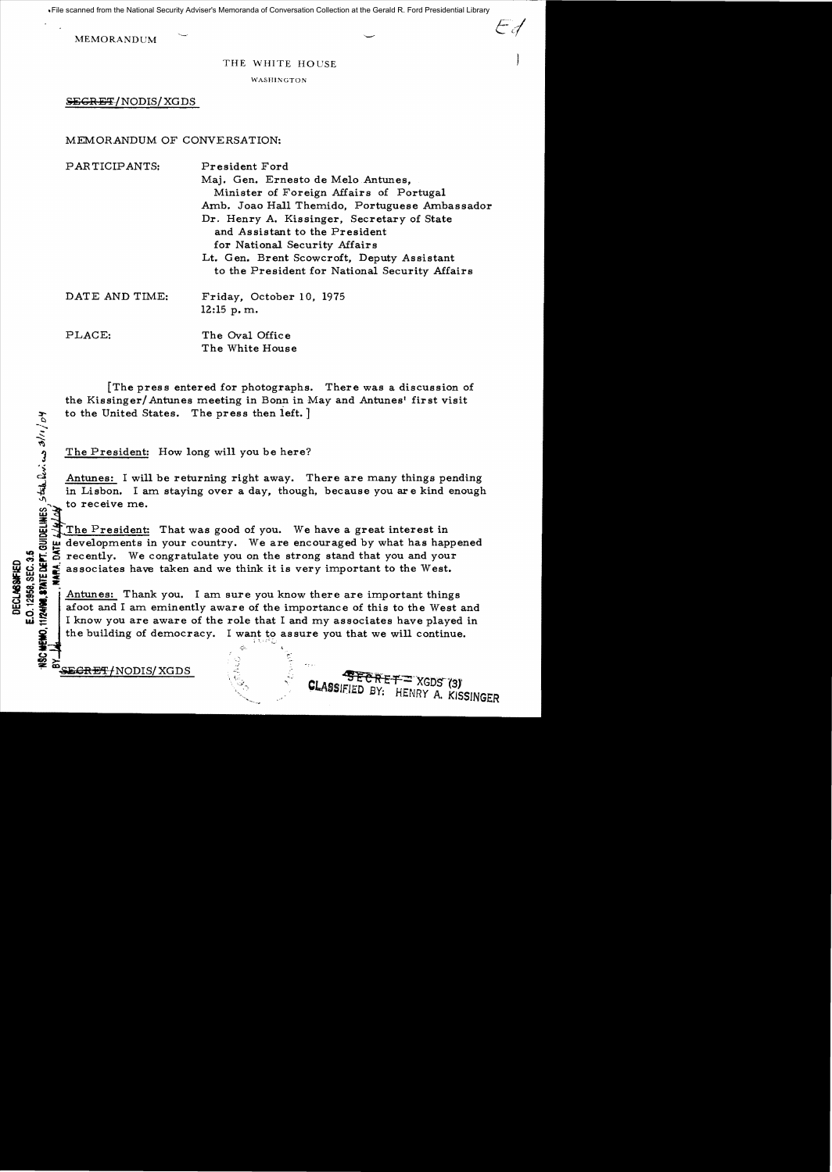File scanned from the National Security Adviser's Memoranda of Conversation Collection at the Gerald R. Ford Presidential Library

**MEMORANDUM** 

## THE WHITE HOUSE

..//

WASHINGTON

SEGRET/NODIS/XGDS

MEMORANDUM OF CONVERSATION:

PARTICIPANTS: President Ford Maj. Gen. Ernesto de Melo Antunes. Minister of Foreign Affairs of Portugal Amb. Joao Hall Themido, Portuguese Ambassador Dr. Henry A. Kissinger, Secretary of State and Assistant to the President for National Security Affairs Lt. Gen. Brent Scowcroft, Deputy Assistant to the President for National Security Affairs DATE AND TIME: Friday, October 10, 1975

12:15 p. m.

PLACE: The Oval Office The White House

[The press entered for photographs. There was a discussion of the Kissinger/ Antunes meeting in Bonn in May and Antunes' first visit to the United States. The press then left.  $]$ 

The President: How long will you be here?

Antunes: I will be returning right away. There are many things pending in Lisbon. I am staying over a day, though, because you are kind enough to receive me.

The President: That was good of you. We have a great interest in  $\frac{1}{2}$  developments in your country. We are encouraged by what has hap  $\frac{1}{6}$  recently. We congratulate you on the strong stand that you and you  $\leq$ developments in your country. We are encouraged by what has happened

:  $\frac{1}{2}$  recently. We congratulate you on the strong stand that you and your<br>congratulate you on the strong stand that you and your<br>congress.<br> $\frac{1}{2}$ <br> $\frac{1}{2}$ <br> $\frac{1}{2}$ <br> $\frac{1}{2}$ <br> $\frac{1}{2}$ <br> $\frac{1}{2}$ <br> $\frac{1}{2}$ <br> $\frac{1}{$ <sup>~</sup>fii !.I :. associates have taken and we think it is very important to the West. Antunes: Thank you. I am sure you know there are important things afoot and I am eminently aware of the importance of this to the West and I know you are aware of the role that I and my associates have played in the building of democracy. I want to assure you that we will continue.  $\mathbb{E}[\mathbf{t},\mathbf{r},\mathbf{r}^2]$ 

E<del>GRET/</del>NODIS/XGDS

a / 1 / 19

35 이 드 호

 $\vec{w} \equiv$ 

CHEHO.

(.) en:>

**CLASSIFIED BY: HENRY A. KISSINGER**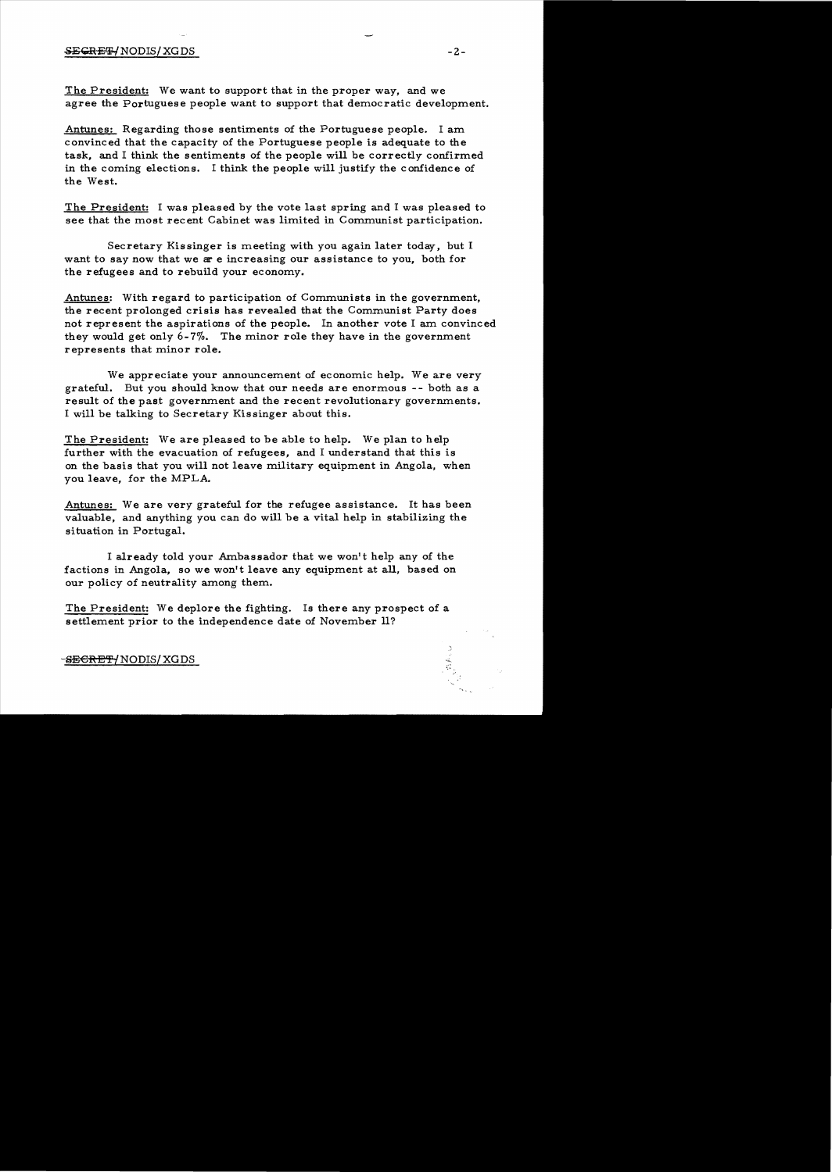## SECRET/NODIS/XGDS -2-

The President: We want to support that in the proper way, and we agree the Portuguese people want to support that democratic development.

Antunes: Regarding those sentiments of the Portuguese people. I am convinced that the capacity of the Portuguese people is adequate to the task, and I think the sentiments of the people will be correctly confirmed in the coming elections. I think the people will justify the confidence of the West.

The President: I was pleased by the vote last spring and I was pleased to see that the most recent Cabinet was limited in Communist participation.

Secretary Kissinger is meeting with you again later today, but I want to say now that we are increasing our assistance to you, both for the refugees and to rebuild your economy.

Antunes: With regard to participation of Communists in the government, the recent prolonged crisis has revealed that the Communist Party does not represent the aspirations of the people. In another vote I am convinced they would get only 6-7%. The minor role they have in the government represents that minor role.

We appreciate your announcement of economic help. We are very grateful. But you should know that our needs are enormous - - both as a result of the past government and the recent revolutionary governments. I will be talking to Secretary Kissinger about this.

The President: We are pleased to be able to help. We plan to help further with the evacuation of refugees, and I understand that this is on the basis that you will not leave military equipment in Angola, when you leave, for the MPLA.

Antunes: We are very grateful for the refugee assistance. It has been valuable, and anything you can do will be a vital help in stabilizing the situation in Portugal.

I already told your Ambassador that we won't help any of the factions in Angola, so we won't leave any equipment at all, based on our policy of neutrality among them.

The President: We deplore the fighting. Is there any prospect of a settlement prior to the independence date of November ll?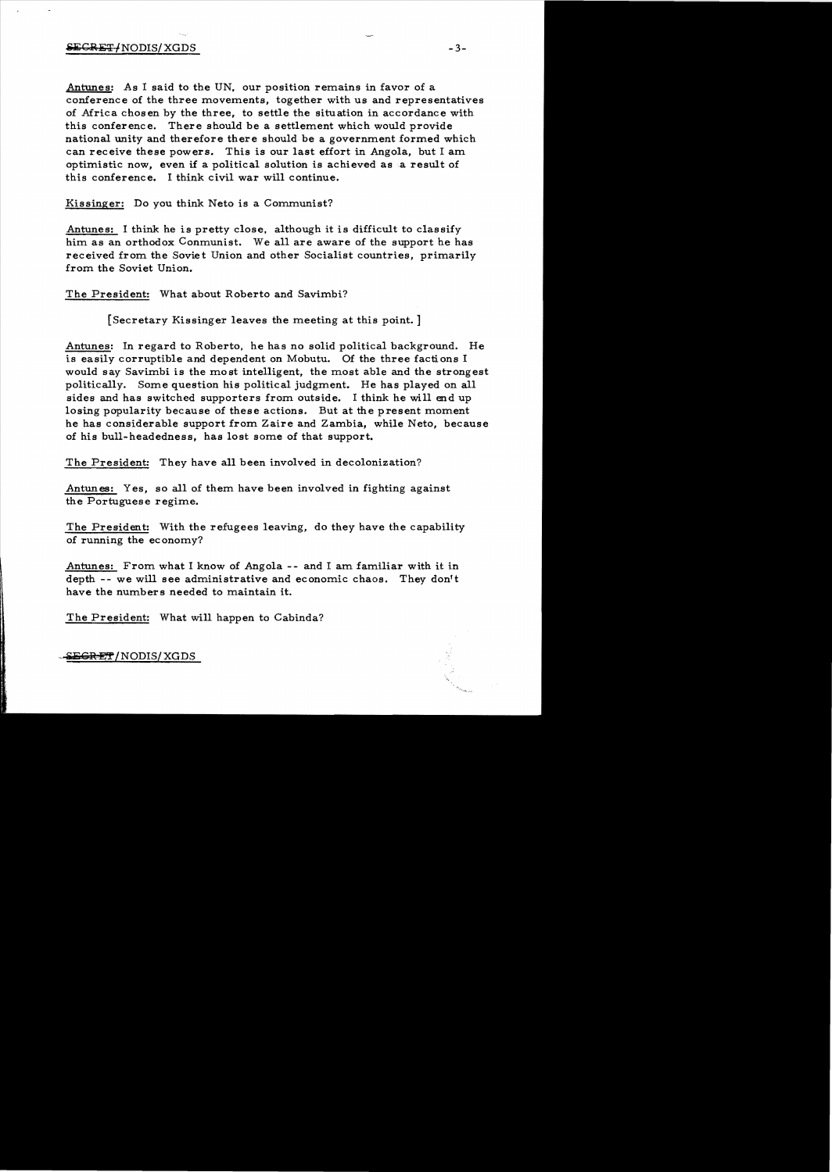## $SEGRET/NODIS/XGDS$  -3-

Antunes: As I said to the UN, our position remains in favor of a conference of the three movements, together with us and representatives of Africa chosen by the three, to settle the situation in accordance with this conference. There should be a settlement which would provide national unity and therefore there should be a government formed which can receive these powers. This is our last effort in Angola, but I am optimistic now, even if a political solution is achieved as a result of this conference. I think civil war will continue.

Kissinger: Do you think Neto is a Communist?

Antunes: I think he is pretty close. although it is difficult to classify him as an orthodox Conmunist. We all are aware of the support he has received from the Soviet Union and other Socialist countries, primarily from the Soviet Union.

The President: What about Roberto and Savimbi?

[Secretary Kissinger leaves the meeting at this point. ]

Antunes: In regard to Roberto, he has no solid political background. He is easily corruptible and dependent on Mobutu. Of the three factions I would say Savimbi is the most inte1ligent, the most able and the strongest politically. Some question his political judgment. He has played on all sides and has switched supporters from outside. I think he wi1l end up losing popularity because of these actions. But at the present moment he has considerable support from Zaire and Zambia, while Neto, because of his bu1l-headedness, has lost some of that support.

The President: They have a11 been involved in decolonization?

Antunes: Yes, so all of them have been involved in fighting against the Portuguese regime.

The President: With the refugees leaving, do they have the capability of running the economy?

Antunes: From what I know of Angola -- and I am familiar with it in depth -- we wi1l see administrative and economic chaos. They don't have the numbers needed to maintain it.

The President: What will happen to Cabinda?

E<del>GRET</del>/NODIS/XGDS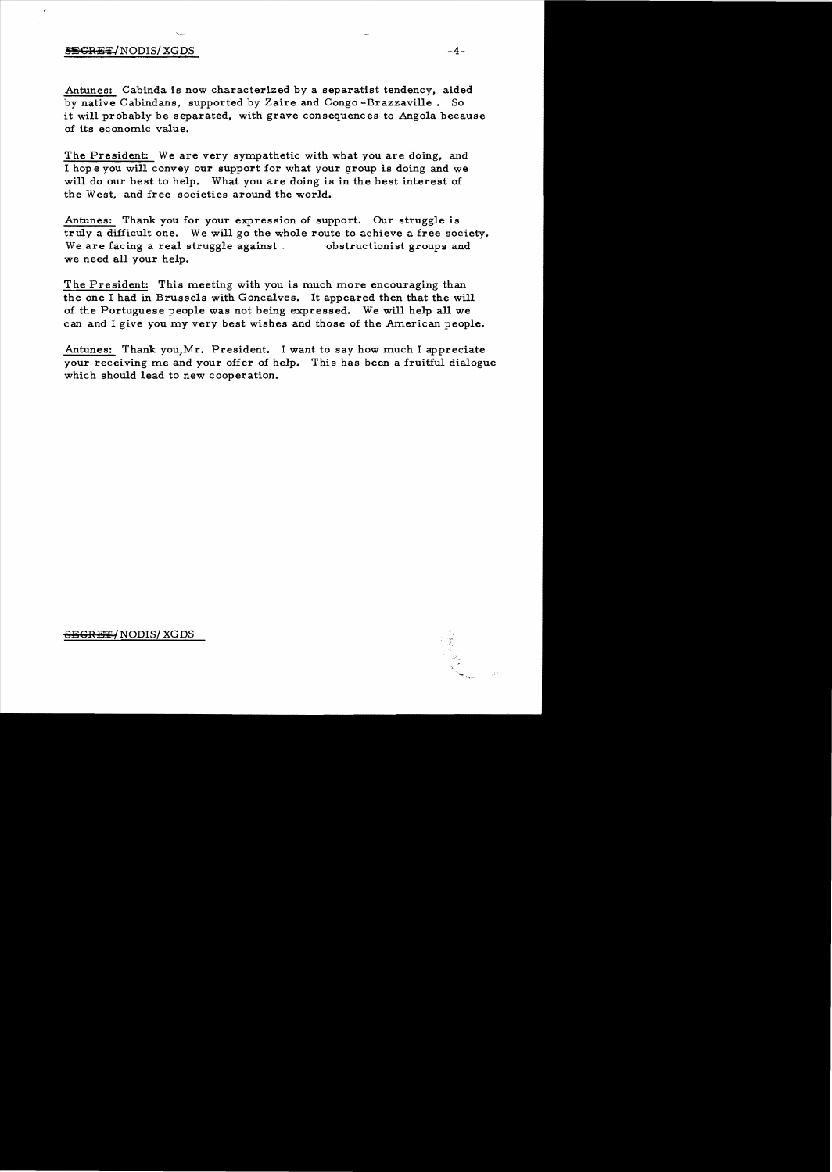## $S$  be seen as  $-4-$

Antunes: Cabinda is now characterized by a separatist tendency, aided by native Cabindans. supported by Zaire and Congo -Brazzaville. So it will probably be separated, with grave consequences to Angola because of its economic value.

The President: We are very sympathetic with what you are doing, and I hop e you will convey our support for what your group is doing and we will do our best to help. What you are doing is in the best interest of the West, and free societies around the world.

Antunes: Thank you for your expression of support. Our struggle is truly a difficult one. We will go the whole route to achieve a free society.<br>We are facing a real struggle against obstructionist groups and We are facing a real struggle against we need all your help.

The President: This meeting with you is much more encouraging than the one I had in Brussels with Goncalves. It appeared then that the will of the Portuguese people was not being expressed. We will help all we can and I give you my very best wishes and those of the American people.

Antunes: Thank you,Mr. President. I want to say how much I appreciate your receiving me and your offer of help. This has been a fruitful dialogue which should lead to new cooperation.

<del>SEGRET/</del> NODIS/ XG DS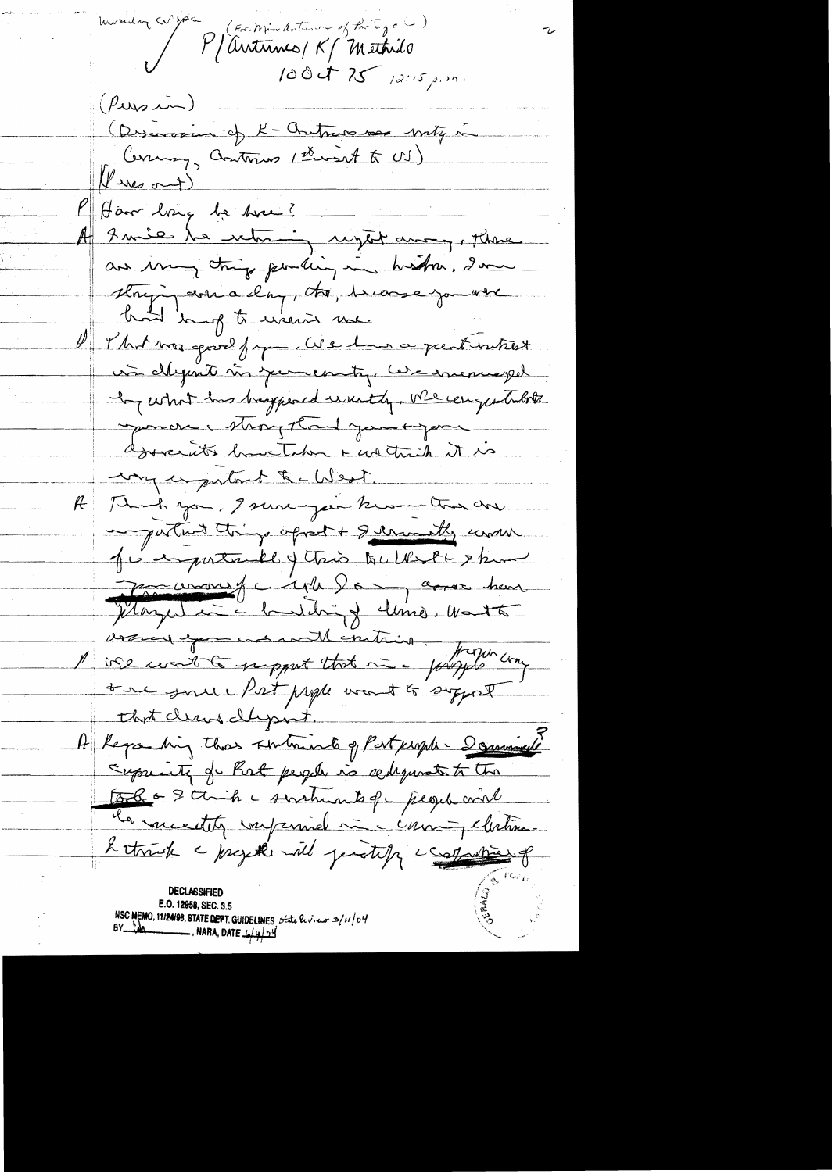monday co god V W spa (For Min duture of Party of )  $1004725$  /2:15 p.m.  $(\rho_{\rm w}, \bar{\rho})$ (Discovered of K-Criticis se mity in Commy, antonino ( there at to US)  $(1)$  ines out) P Harry be have? A 9 mie le nomme reget august plus are my things pending in history, I was strying are a day, to, become you when d'Ilat ma goud france de lui a pententistes had in of to warris me. is définit sir juncontre les incorreges In what has begined wanty, we can justulate sponcer May thank you expose dosperants have Taken + we think it is very exportant to West. A Thompson, Isureyear know the one empartant thing opport + germantly unrou Je enportunal y tris Quilles et skind Margaret (144) 6 garde heur Jetarget in a bundaing clima. Want assient au met intrin from une to see juried Post paper weart to support that denne dlysint. A Regarding that submints of Part people- I comment cupulate de Post people via cediquate to the tobes & circh c soutients que people coul la voue etity varyzuriel me course, clutime Letruck a projecte will protect a contraction of **DECLASSIFIED** E.O. 12958, SEC. 3.5 NSC MEMO, 11/24/98, STATE DEPT. GUIDELINES, state here as 2/11/04

 $BY$   $\frac{1}{2}$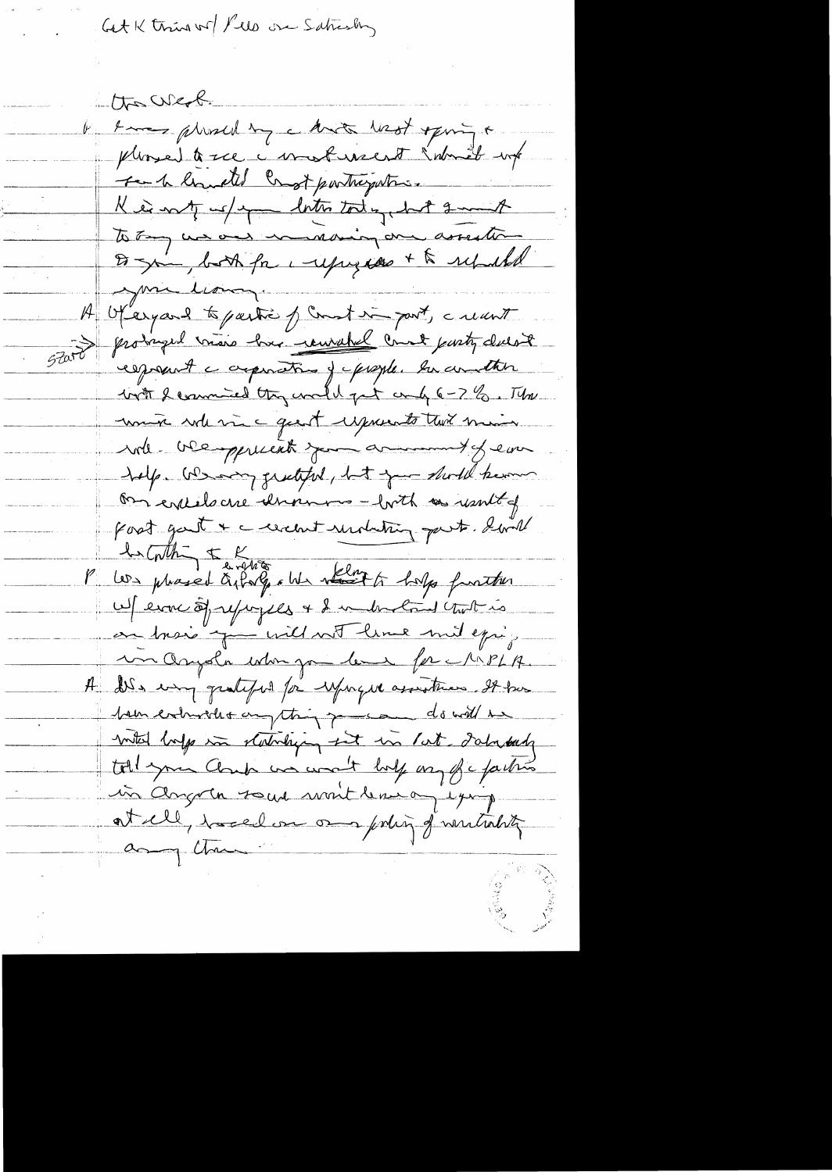Get K third wo Ples on Saturaly

the west. b know plushed by a know lest opining a pleased to see a most recent introduct work to the limited and partneywhich King of up anto tody but 2mm of to Tay we are maning one assession De sin, both for i represent to republic your lion H Ofergeard to gestion of Count in part, creant 57000 prodruged visio has remarked comet party cluest espont a appointer jupigle. In another with I commited they would get and 6-7 %. The unix role me quest exprends two min will be oppreciate your armimit of ear help. We any greateful, but your should know On entitle cre demanner - buth as usuit of part gast & creant unduting part. Small les Contre le 1945.<br>Les proced à forç en récept dans fauthor W ever of repoples + & understand two is en trois juillant line mit epig un Orysla when you level for MPLA. A dis using qualify to expect assistences. It has <u>boundationales anything present do will have</u> mited before the stationing set in lat databash toll your Cloud was won't lody on fic faction in Angora sous mait les og eging at ell, horelon om pohing of wintrality any Chan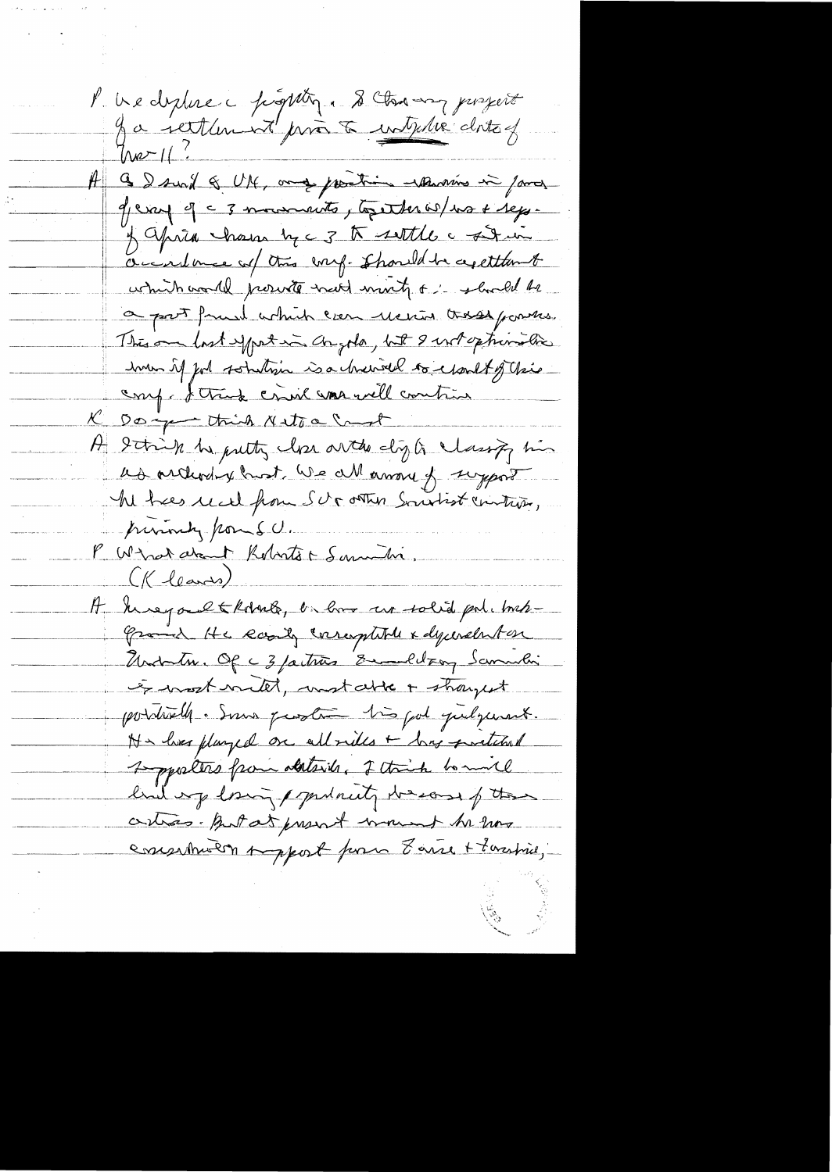l'us diplice populity. S'Antony posseit Ja jettlement print à interse clots of  $Im2112$ A G I sured & UNC, and prestice whenowns in famos 9/earl 9 = 3 mourrants, together w/ ws + rep. y april chain by c 3 to settle a signific accordance of this corry. Should be agettiont which would proved mot mint, or should be a post fruit which can receive these powers. This on last exporting comple, but I enterprise line how if for sotution is a churrel to charlt of the comp. I truck crisil was well contrive K Doing think Netoa Cant H String he putty close out do dig to classify his as arthodox host we all among to support We have read from SUS other Southor vinture, purinty pour S.C. P Wind drant Roberts & Samuelin. (Kleames) It knopaltkolorde, in how are solid politoint-Grand He Roady corresptibile x dycerebrition Modulin. Of C 3 factures Emmelling Samulin et work with, work able + shought pointrelle. Some proster très pol quelquant.  $\mathbb{N}\times$  lives plurped on all rides + bing proteined 1-pporters from alterily, of think hommil build up long / putanty to easily the critics. But at present mount be now essentivent part pour 8 avre + 7 avriliers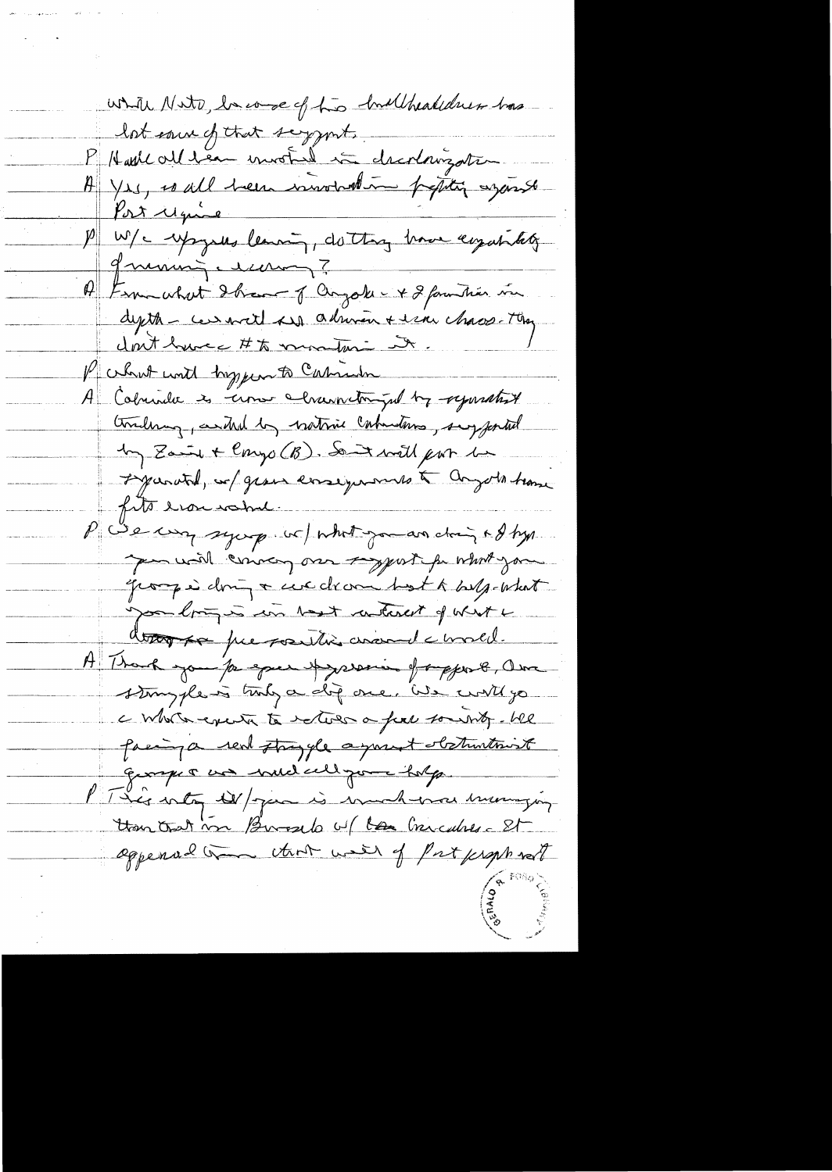while Nute, become of two hullhealther has lot eau ef trat signat.<br>P Hade al ben invoted à dicolonization. partie exposus lemon de thos home empañatet grunning escenag? A Finn what Ihave of anyoke - + 2 familier in depth - ceremont and admirent error chaos. They dont have # to montari it. / what will hyper to Calment A Colunda es come channet po tre reparative therebring, and by nativie calmations, suggested In Zaint Congo (B). Sont will par la L'yaratd, se gross esseignements à congots tronc fits erousable P We was symp in what go an change of hyp. per will convey our sypart for what you groupe doing a credram best k belg-what you longer in tost interest of what i dont presentie avandement. A Thank you for equen Ayrorin of organ 8, Own stample is tody a dif one. We will go a whole exercite to return a full soundy. We passing a real strayyle a yount obstructions Europe & un inicident pour holps. PT Lis entry W/ James is enmarked and energy than that in Bureselo w/ la Chicalise St appended that with of Put people not